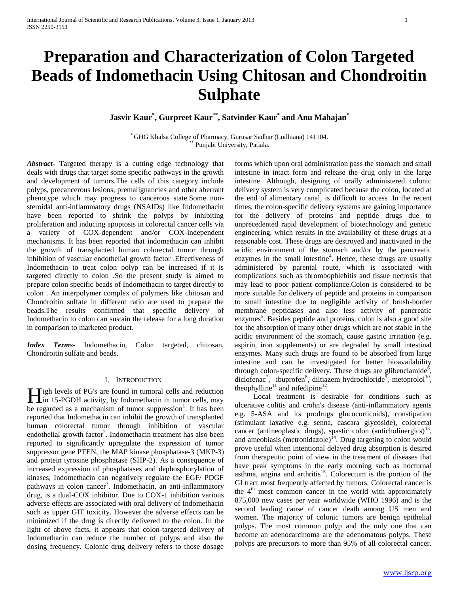# **Preparation and Characterization of Colon Targeted Beads of Indomethacin Using Chitosan and Chondroitin Sulphate**

**Jasvir Kaur\* , Gurpreet Kaur\*\*, Satvinder Kaur\* and Anu Mahajan\***

\* GHG Khalsa College of Pharmacy, Gurusar Sadhar (Ludhiana) 141104. Punjabi University, Patiala.

*Abstract***-** Targeted therapy is a cutting edge technology that deals with drugs that target some specific pathways in the growth and development of tumors.The cells of this category include polyps, precancerous lesions, premalignancies and other aberrant phenotype which may progress to cancerous state.Some nonsteroidal anti-inflammatory drugs (NSAIDs) like Indomethacin have been reported to shrink the polyps by inhibiting proliferation and inducing apoptosis in colorectal cancer cells via a variety of COX-dependent and/or COX-independent mechanisms. It has been reported that indomethacin can inhibit the growth of transplanted human colorectal tumor through inhibition of vascular endothelial growth factor .Effectiveness of Indomethacin to treat colon polyp can be increased if it is targeted directly to colon .So the present study is aimed to prepare colon specific beads of Indomethacin to target directly to colon . An interpolymer complex of polymers like chitosan and Chondroitin sulfate in different ratio are used to prepare the beads.The results confirmed that specific delivery of Indomethacin to colon can sustain the release for a long duration in comparison to marketed product.

*Index Terms*- Indomethacin, Colon targeted, chitosan, Chondroitin sulfate and beads.

## I. INTRODUCTION

**Tigh levels of PG's are found in tumoral cells and reduction in 15-PGDH** activity, by Indomethacin in tumor cells, may interest and reduction be regarded as a mechanism of tumor suppression<sup>1</sup>. It has been reported that Indomethacin can inhibit the growth of transplanted human colorectal tumor through inhibition of vascular endothelial growth factor<sup>2</sup>. Indomethacin treatment has also been reported to significantly upregulate the expression of tumor suppressor gene PTEN, the MAP kinase phosphatase-3 (MKP-3) and protein tyrosine phosphatase (SHP-2). As a consequence of increased expression of phosphatases and dephosphorylation of kinases, Indomethacin can negatively regulate the EGF/ PDGF pathways in colon cancer<sup>3</sup>. Indomethacin, an anti-inflammatory drug, is a dual-COX inhibitor. Due to COX-1 inhibition various adverse effects are associated with oral delivery of Indomethacin such as upper GIT toxicity. However the adverse effects can be minimized if the drug is directly delivered to the colon. In the light of above facts, it appears that colon-targeted delivery of Indomethacin can reduce the number of polyps and also the dosing frequency. Colonic drug delivery refers to those dosage

forms which upon oral administration pass the stomach and small intestine in intact form and release the drug only in the large intestine. Although, designing of orally administered colonic delivery system is very complicated because the colon, located at the end of alimentary canal, is difficult to access .In the recent times, the colon-specific delivery systems are gaining importance for the delivery of proteins and peptide drugs due to unprecedented rapid development of biotechnology and genetic engineering, which results in the availability of these drugs at a reasonable cost. These drugs are destroyed and inactivated in the acidic environment of the stomach and/or by the pancreatic enzymes in the small intestine<sup>4</sup>. Hence, these drugs are usually administered by parental route, which is associated with complications such as thrombophlebitis and tissue necrosis that may lead to poor patient compliance.Colon is considered to be more suitable for delivery of peptide and proteins in comparison to small intestine due to negligible activity of brush-border membrane peptidases and also less activity of pancreatic enzymes<sup>5</sup>. Besides peptide and proteins, colon is also a good site for the absorption of many other drugs which are not stable in the acidic environment of the stomach, cause gastric irritation (e.g. aspirin, iron supplements) or are degraded by small intestinal enzymes. Many such drugs are found to be absorbed from large intestine and can be investigated for better bioavailability through colon-specific delivery. These drugs are glibenclamide<sup> $\delta$ </sup>, diclofenac<sup>7</sup>, ibuprofen<sup>8</sup>, diltiazem hydrochloride<sup>9</sup>, metoprolol<sup>10</sup>, theophylline<sup>11</sup> and nifedipine<sup>12</sup>.

 Local treatment is desirable for conditions such as ulcerative colitis and crohn's disease (anti-inflammatory agents e.g. 5-ASA and its prodrugs glucocorticoids), constipation (stimulant laxative e.g. senna, cascara glycoside), colorectal cancer (antineoplastic drugs), spastic colon (anticholinergics) $13$ , and ameobiasis (metronidazole)<sup>14</sup>. Drug targeting to colon would prove useful when intentional delayed drug absorption is desired from therapeutic point of view in the treatment of diseases that have peak symptoms in the early morning such as nocturnal asthma, angina and arthritis<sup>15</sup>. Colorectum is the portion of the GI tract most frequently affected by tumors. Colorectal cancer is the  $4<sup>th</sup>$  most common cancer in the world with approximately 875,000 new cases per year worldwide (WHO 1996) and is the second leading cause of cancer death among US men and women. The majority of colonic tumors are benign epithelial polyps. The most common polyp and the only one that can become an adenocarcinoma are the adenomatous polyps. These polyps are precursors to more than 95% of all colorectal cancer.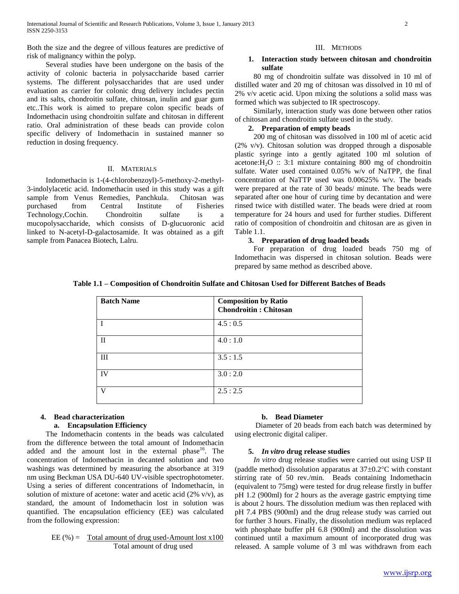Both the size and the degree of villous features are predictive of risk of malignancy within the polyp.

## Several studies have been undergone on the basis of the activity of colonic bacteria in polysaccharide based carrier systems. The different polysaccharides that are used under evaluation as carrier for colonic drug delivery includes pectin and its salts, chondroitin sulfate, chitosan, inulin and guar gum etc..This work is aimed to prepare colon specific beads of Indomethacin using chondroitin sulfate and chitosan in different ratio. Oral administration of these beads can provide colon specific delivery of Indomethacin in sustained manner so reduction in dosing frequency.

## II. MATERIALS

 Indomethacin is 1-(4-chlorobenzoyl)-5-methoxy-2-methyl-3-indolylacetic acid. Indomethacin used in this study was a gift sample from Venus Remedies, Panchkula. Chitosan was purchased from Central Institute of Fisheries Technology,Cochin. Chondroitin sulfate is a mucopolysaccharide, which consists of D-glucuoronic acid linked to N-acetyl-D-galactosamide. It was obtained as a gift sample from Panacea Biotech, Lalru.

## III. METHODS

## **1. Interaction study between chitosan and chondroitin sulfate**

 80 mg of chondroitin sulfate was dissolved in 10 ml of distilled water and 20 mg of chitosan was dissolved in 10 ml of 2% v/v acetic acid. Upon mixing the solutions a solid mass was formed which was subjected to IR spectroscopy.

 Similarly, interaction study was done between other ratios of chitosan and chondroitin sulfate used in the study.

## **2. Preparation of empty beads**

 200 mg of chitosan was dissolved in 100 ml of acetic acid (2% v/v). Chitosan solution was dropped through a disposable plastic syringe into a gently agitated 100 ml solution of acetone: $H_2O$  :: 3:1 mixture containing 800 mg of chondroitin sulfate. Water used contained 0.05% w/v of NaTPP, the final concentration of NaTTP used was 0.00625% w/v. The beads were prepared at the rate of 30 beads/ minute. The beads were separated after one hour of curing time by decantation and were rinsed twice with distilled water. The beads were dried at room temperature for 24 hours and used for further studies. Different ratio of composition of chondroitin and chitosan are as given in Table 1.1.

#### **3. Preparation of drug loaded beads**

 For preparation of drug loaded beads 750 mg of Indomethacin was dispersed in chitosan solution. Beads were prepared by same method as described above.

| <b>Batch Name</b> | <b>Composition by Ratio</b><br><b>Chondroitin: Chitosan</b> |
|-------------------|-------------------------------------------------------------|
|                   | 4.5:0.5                                                     |
| $\mathbf{I}$      | 4.0:1.0                                                     |
| III               | 3.5:1.5                                                     |
| <b>IV</b>         | 3.0:2.0                                                     |
| $\mathbf{V}$      | 2.5:2.5                                                     |

## **4. Bead characterization**

## **a. Encapsulation Efficiency**

 The Indomethacin contents in the beads was calculated from the difference between the total amount of Indomethacin added and the amount lost in the external phase  $16$ . The concentration of Indomethacin in decanted solution and two washings was determined by measuring the absorbance at 319 nm using Beckman USA DU-640 UV-visible spectrophotometer. Using a series of different concentrations of Indomethacin, in solution of mixture of acetone: water and acetic acid  $(2\% \text{ v/v})$ , as standard, the amount of Indomethacin lost in solution was quantified. The encapsulation efficiency (EE) was calculated from the following expression:

$$
EE (%) = \underline{Total\ amount\ of\ drug\ used\ -Amount\ lost\ x100}{Total\ amount\ of\ drug\ used}
$$

#### **b. Bead Diameter**

 Diameter of 20 beads from each batch was determined by using electronic digital caliper.

## **5.** *In vitro* **drug release studies**

 *In vitro* drug release studies were carried out using USP II (paddle method) dissolution apparatus at  $37\pm0.2^{\circ}$ C with constant stirring rate of 50 rev./min. Beads containing Indomethacin (equivalent to 75mg) were tested for drug release firstly in buffer pH 1.2 (900ml) for 2 hours as the average gastric emptying time is about 2 hours. The dissolution medium was then replaced with pH 7.4 PBS (900ml) and the drug release study was carried out for further 3 hours. Finally, the dissolution medium was replaced with phosphate buffer pH 6.8 (900ml) and the dissolution was continued until a maximum amount of incorporated drug was released. A sample volume of 3 ml was withdrawn from each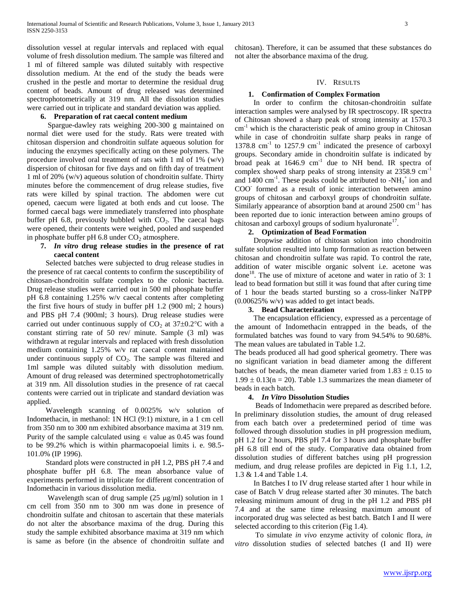dissolution vessel at regular intervals and replaced with equal volume of fresh dissolution medium. The sample was filtered and 1 ml of filtered sample was diluted suitably with respective dissolution medium. At the end of the study the beads were crushed in the pestle and mortar to determine the residual drug content of beads. Amount of drug released was determined spectrophotometrically at 319 nm. All the dissolution studies were carried out in triplicate and standard deviation was applied.

## **6. Preparation of rat caecal content medium**

 Spargue-dawley rats weighing 200-300 g maintained on normal diet were used for the study. Rats were treated with chitosan dispersion and chondroitin sulfate aqueous solution for inducing the enzymes specifically acting on these polymers. The procedure involved oral treatment of rats with 1 ml of 1% (w/v) dispersion of chitosan for five days and on fifth day of treatment 1 ml of 20% (w/v) aqueous solution of chondroitin sulfate. Thirty minutes before the commencement of drug release studies, five rats were killed by spinal traction. The abdomen were cut opened, caecum were ligated at both ends and cut loose. The formed caecal bags were immediately transferred into phosphate buffer pH 6.8, previously bubbled with  $CO<sub>2</sub>$ . The caecal bags were opened, their contents were weighed, pooled and suspended in phosphate buffer pH  $6.8$  under  $CO<sub>2</sub>$  atmosphere.

## **7.** *In vitro* **drug release studies in the presence of rat caecal content**

 Selected batches were subjected to drug release studies in the presence of rat caecal contents to confirm the susceptibility of chitosan-chondroitin sulfate complex to the colonic bacteria. Drug release studies were carried out in 500 ml phosphate buffer pH 6.8 containing 1.25% w/v caecal contents after completing the first five hours of study in buffer pH 1.2 (900 ml; 2 hours) and PBS pH 7.4 (900ml; 3 hours). Drug release studies were carried out under continuous supply of  $CO_2$  at 37 $\pm$ 0.2°C with a constant stirring rate of 50 rev/ minute. Sample (3 ml) was withdrawn at regular intervals and replaced with fresh dissolution medium containing 1.25% w/v rat caecal content maintained under continuous supply of  $CO<sub>2</sub>$ . The sample was filtered and 1ml sample was diluted suitably with dissolution medium. Amount of drug released was determined spectrophotometrically at 319 nm. All dissolution studies in the presence of rat caecal contents were carried out in triplicate and standard deviation was applied.

 Wavelength scanning of 0.0025% w/v solution of Indomethacin, in methanol: 1N HCl (9:1) mixture, in a 1 cm cell from 350 nm to 300 nm exhibited absorbance maxima at 319 nm. Purity of the sample calculated using  $\epsilon$  value as 0.45 was found to be 99.2% which is within pharmacopoeial limits i. e. 98.5- 101.0% (IP 1996).

 Standard plots were constructed in pH 1.2, PBS pH 7.4 and phosphate buffer pH 6.8. The mean absorbance value of experiments performed in triplicate for different concentration of Indomethacin in various dissolution media.

Wavelength scan of drug sample  $(25 \text{ µg/ml})$  solution in 1 cm cell from 350 nm to 300 nm was done in presence of chondroitin sulfate and chitosan to ascertain that these materials do not alter the absorbance maxima of the drug. During this study the sample exhibited absorbance maxima at 319 nm which is same as before (in the absence of chondroitin sulfate and chitosan). Therefore, it can be assumed that these substances do not alter the absorbance maxima of the drug.

## IV. RESULTS

## **1. Confirmation of Complex Formation**

 In order to confirm the chitosan-chondroitin sulfate interaction samples were analysed by IR spectroscopy. IR spectra of Chitosan showed a sharp peak of strong intensity at 1570.3  $cm<sup>-1</sup>$  which is the characteristic peak of amino group in Chitosan while in case of chondroitin sulfate sharp peaks in range of  $1378.8$  cm<sup>-1</sup> to  $1257.9$  cm<sup>-1</sup> indicated the presence of carboxyl groups. Secondary amide in chondroitin sulfate is indicated by broad peak at  $1646.9$  cm<sup>-1</sup> due to NH bend. IR spectra of complex showed sharp peaks of strong intensity at 2358.9 cm-1 and  $1400 \text{ cm}^{-1}$ . These peaks could be attributed to -NH<sub>3</sub><sup>+</sup> ion and COO<sup>-</sup> formed as a result of ionic interaction between amino groups of chitosan and carboxyl groups of chondroitin sulfate. Similarly appearance of absorption band at around 2500 cm<sup>-1</sup> has been reported due to ionic interaction between amino groups of chitosan and carboxyl groups of sodium hyaluronate<sup>17</sup>.

## **2. Optimization of Bead Formation**

 Dropwise addition of chitosan solution into chondroitin sulfate solution resulted into lump formation as reaction between chitosan and chondroitin sulfate was rapid. To control the rate, addition of water miscible organic solvent i.e. acetone was done<sup>18</sup>. The use of mixture of acetone and water in ratio of 3: 1 lead to bead formation but still it was found that after curing time of 1 hour the beads started bursting so a cross-linker NaTPP (0.00625% w/v) was added to get intact beads.

## **3. Bead Characterization**

 The encapsulation efficiency, expressed as a percentage of the amount of Indomethacin entrapped in the beads, of the formulated batches was found to vary from 94.54% to 90.68%. The mean values are tabulated in Table 1.2.

The beads produced all had good spherical geometry. There was no significant variation in bead diameter among the different batches of beads, the mean diameter varied from  $1.83 \pm 0.15$  to  $1.99 \pm 0.13$ (n = 20). Table 1.3 summarizes the mean diameter of beads in each batch.

## **4.** *In Vitro* **Dissolution Studies**

 Beads of Indomethacin were prepared as described before. In preliminary dissolution studies, the amount of drug released from each batch over a predetermined period of time was followed through dissolution studies in pH progression medium, pH 1.2 for 2 hours, PBS pH 7.4 for 3 hours and phosphate buffer pH 6.8 till end of the study. Comparative data obtained from dissolution studies of different batches using pH progression medium, and drug release profiles are depicted in Fig 1.1, 1.2, 1.3 & 1.4 and Table 1.4.

 In Batches I to IV drug release started after 1 hour while in case of Batch V drug release started after 30 minutes. The batch releasing minimum amount of drug in the pH 1.2 and PBS pH 7.4 and at the same time releasing maximum amount of incorporated drug was selected as best batch. Batch I and II were selected according to this criterion (Fig 1.4).

 To simulate *in vivo* enzyme activity of colonic flora, *in vitro* dissolution studies of selected batches (I and II) were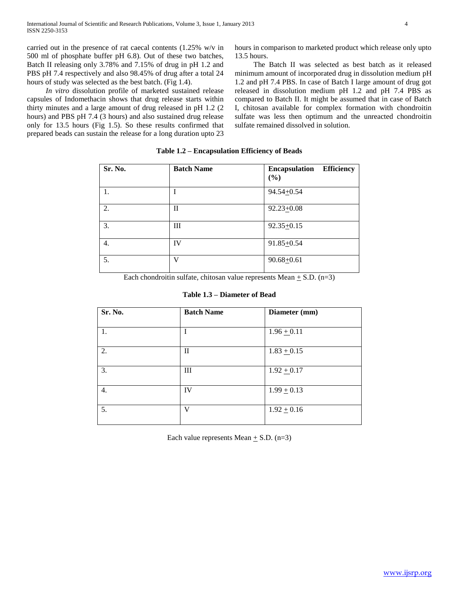carried out in the presence of rat caecal contents (1.25% w/v in 500 ml of phosphate buffer pH 6.8). Out of these two batches, Batch II releasing only 3.78% and 7.15% of drug in pH 1.2 and PBS pH 7.4 respectively and also 98.45% of drug after a total 24 hours of study was selected as the best batch. (Fig 1.4).

 *In vitro* dissolution profile of marketed sustained release capsules of Indomethacin shows that drug release starts within thirty minutes and a large amount of drug released in pH 1.2 (2 hours) and PBS pH 7.4 (3 hours) and also sustained drug release only for 13.5 hours (Fig 1.5). So these results confirmed that prepared beads can sustain the release for a long duration upto 23 hours in comparison to marketed product which release only upto 13.5 hours.

 The Batch II was selected as best batch as it released minimum amount of incorporated drug in dissolution medium pH 1.2 and pH 7.4 PBS. In case of Batch I large amount of drug got released in dissolution medium pH 1.2 and pH 7.4 PBS as compared to Batch II. It might be assumed that in case of Batch I, chitosan available for complex formation with chondroitin sulfate was less then optimum and the unreacted chondroitin sulfate remained dissolved in solution.

| Sr. No. | <b>Batch Name</b> | <b>Efficiency</b><br><b>Encapsulation</b><br>(%) |
|---------|-------------------|--------------------------------------------------|
| 1.      |                   | 94.54+0.54                                       |
| 2.      | П                 | $92.23 + 0.08$                                   |
| 3.      | Ш                 | $92.35 + 0.15$                                   |
| 4.      | IV                | $91.85 + 0.54$                                   |
| 5.      | V                 | $90.68 + 0.61$                                   |

**Table 1.2 – Encapsulation Efficiency of Beads**

Each chondroitin sulfate, chitosan value represents Mean  $+$  S.D. (n=3)

**Table 1.3 – Diameter of Bead**

| Sr. No.          | <b>Batch Name</b> | Diameter (mm)   |  |
|------------------|-------------------|-----------------|--|
| 1.               |                   | $1.96 \pm 0.11$ |  |
| 2.               | $\mathbf{I}$      | $1.83 + 0.15$   |  |
| 3.               | Ш                 | $1.92 + 0.17$   |  |
| $\overline{4}$ . | IV                | $1.99 \pm 0.13$ |  |
| 5.               | V                 | $1.92 \pm 0.16$ |  |
|                  |                   |                 |  |

Each value represents Mean  $\pm$  S.D. (n=3)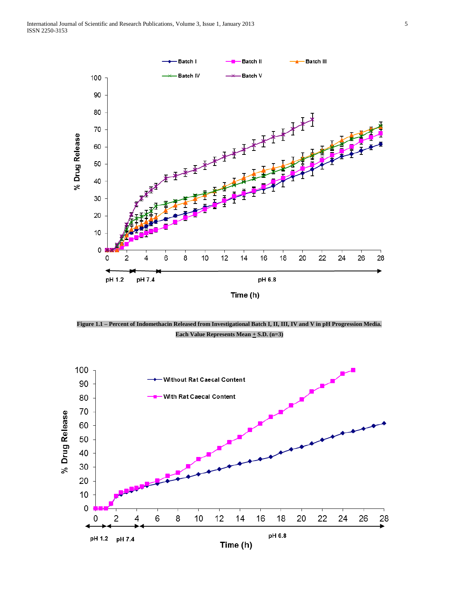

**Figure 1.1 – Percent of Indomethacin Released from Investigational Batch I, II, III, IV and V in pH Progression Media.**  Each Value Represents Mean  $+$  S.D. (n=3)

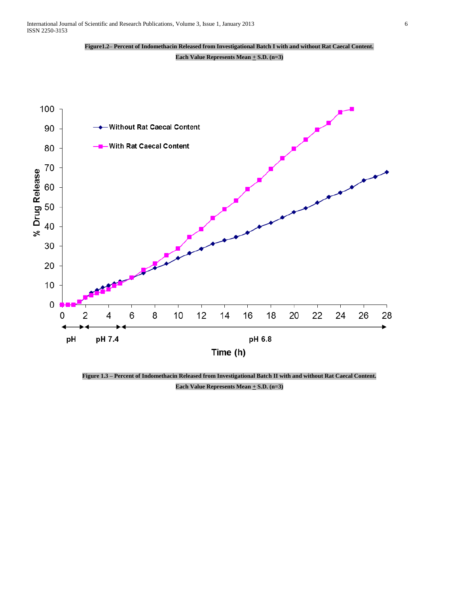



**Figure 1.3 – Percent of Indomethacin Released from Investigational Batch II with and without Rat Caecal Content.**  Each Value Represents Mean  $+$  S.D. (n=3)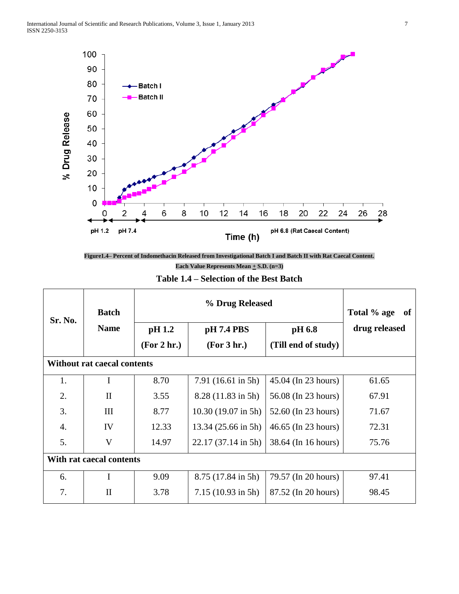



| Table 1.4 – Selection of the Best Batch |
|-----------------------------------------|
|-----------------------------------------|

| Sr. No.                  | <b>Batch</b>                       | % Drug Released |                               |                     | Total % age<br>of |
|--------------------------|------------------------------------|-----------------|-------------------------------|---------------------|-------------------|
|                          | <b>Name</b>                        | pH 1.2          | pH 7.4 PBS                    | pH 6.8              | drug released     |
|                          |                                    | (For 2 hr.)     | (For 3 hr.)                   | (Till end of study) |                   |
|                          | <b>Without rat caecal contents</b> |                 |                               |                     |                   |
| 1.                       | I                                  | 8.70            | $7.91(16.61 \text{ in } 5h)$  | 45.04 (In 23 hours) | 61.65             |
| 2.                       | $\mathbf{I}$                       | 3.55            | 8.28 (11.83 in 5h)            | 56.08 (In 23 hours) | 67.91             |
| 3.                       | III                                | 8.77            | $10.30(19.07 \text{ in } 5h)$ | 52.60 (In 23 hours) | 71.67             |
| 4.                       | IV                                 | 12.33           | 13.34 (25.66 in 5h)           | 46.65 (In 23 hours) | 72.31             |
| 5.                       | V                                  | 14.97           | $22.17(37.14 \text{ in } 5h)$ | 38.64 (In 16 hours) | 75.76             |
| With rat caecal contents |                                    |                 |                               |                     |                   |
| 6.                       | I                                  | 9.09            | 8.75 (17.84 in 5h)            | 79.57 (In 20 hours) | 97.41             |
| 7.                       | $\mathbf{I}$                       | 3.78            | $7.15(10.93 \text{ in } 5h)$  | 87.52 (In 20 hours) | 98.45             |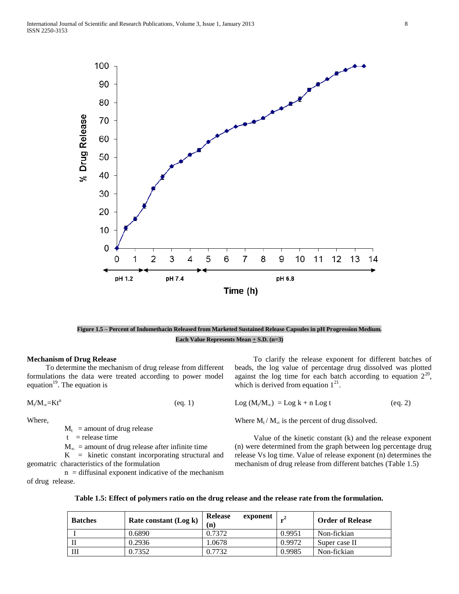

# **Figure 1.5 – Percent of Indomethacin Released from Marketed Sustained Release Capsules in pH Progression Medium.**  Each Value Represents Mean  $\pm$  S.D. (n=3)

#### **Mechanism of Drug Release**

 To determine the mechanism of drug release from different formulations the data were treated according to power model equation<sup>19</sup>. The equation is

$$
M_t/M_\infty=Kt^n\tag{eq. 1}
$$

Where,

 $M_t$  = amount of drug release

 $t =$  release time

 $M_{\infty}$  = amount of drug release after infinite time

 $K =$  kinetic constant incorporating structural and geomatric characteristics of the formulation

 $n =$  diffusinal exponent indicative of the mechanism of drug release.

 To clarify the release exponent for different batches of beads, the log value of percentage drug dissolved was plotted against the log time for each batch according to equation  $2^{20}$ , which is derived from equation  $1^{21}$ .

 $Log (M_t/M_\infty) = Log k + n Log t$  (eq. 2)

Where  $M_t / M_\infty$  is the percent of drug dissolved.

 Value of the kinetic constant (k) and the release exponent (n) were determined from the graph between log percentage drug release Vs log time. Value of release exponent (n) determines the mechanism of drug release from different batches (Table 1.5)

|  | Table 1.5: Effect of polymers ratio on the drug release and the release rate from the formulation. |  |
|--|----------------------------------------------------------------------------------------------------|--|
|  |                                                                                                    |  |

| <b>Batches</b> | Rate constant (Log k) | Release<br>exponent<br>(n) |        | <b>Order of Release</b> |
|----------------|-----------------------|----------------------------|--------|-------------------------|
|                | 0.6890                | 0.7372                     | 0.9951 | Non-fickian             |
|                | 0.2936                | 1.0678                     | 0.9972 | Super case II           |
| Ш              | 0.7352                | 0.7732                     | 0.9985 | Non-fickian             |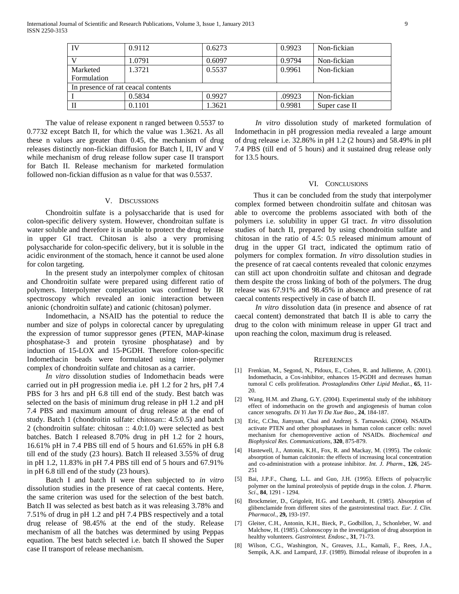|                                    | 0.9112 | 0.6273 | 0.9923 | Non-fickian   |  |
|------------------------------------|--------|--------|--------|---------------|--|
|                                    | 1.0791 | 0.6097 | 0.9794 | Non-fickian   |  |
| Marketed                           | 1.3721 | 0.5537 | 0.9961 | Non-fickian   |  |
| Formulation                        |        |        |        |               |  |
| In presence of rat ceacal contents |        |        |        |               |  |
|                                    | 0.5834 | 0.9927 | .09923 | Non-fickian   |  |
|                                    | 0.1101 | 1.3621 | 0.9981 | Super case II |  |

 The value of release exponent n ranged between 0.5537 to 0.7732 except Batch II, for which the value was 1.3621. As all these n values are greater than 0.45, the mechanism of drug releases distinctly non-fickian diffusion for Batch I, II, IV and V while mechanism of drug release follow super case II transport for Batch II. Release mechanism for marketed formulation followed non-fickian diffusion as n value for that was 0.5537.

## V. DISCUSSIONS

 Chondroitin sulfate is a polysaccharide that is used for colon-specific delivery system. However, chondroitan sulfate is water soluble and therefore it is unable to protect the drug release in upper GI tract. Chitosan is also a very promising polysaccharide for colon-specific delivery, but it is soluble in the acidic environment of the stomach, hence it cannot be used alone for colon targeting.

 In the present study an interpolymer complex of chitosan and Chondroitin sulfate were prepared using different ratio of polymers. Interpolymer complexation was confirmed by IR spectroscopy which revealed an ionic interaction between anionic (chondroitin sulfate) and cationic (chitosan) polymer.

 Indomethacin, a NSAID has the potential to reduce the number and size of polyps in colorectal cancer by upregulating the expression of tumor suppressor genes (PTEN, MAP-kinase phosphatase-3 and protein tyrosine phosphatase) and by induction of 15-LOX and 15-PGDH. Therefore colon-specific Indomethacin beads were formulated using inter-polymer complex of chondroitin sulfate and chitosan as a carrier.

 *In vitro* dissolution studies of Indomethacin beads were carried out in pH progression media i.e. pH 1.2 for 2 hrs, pH 7.4 PBS for 3 hrs and pH 6.8 till end of the study. Best batch was selected on the basis of minimum drug release in pH 1.2 and pH 7.4 PBS and maximum amount of drug release at the end of study. Batch 1 (chondroitin sulfate: chitosan:: 4.5:0.5) and batch 2 (chondroitin sulfate: chitosan :: 4.0:1.0) were selected as best batches. Batch I released 8.70% drug in pH 1.2 for 2 hours, 16.61% pH in 7.4 PBS till end of 5 hours and 61.65% in pH 6.8 till end of the study (23 hours). Batch II released 3.55% of drug in pH 1.2, 11.83% in pH 7.4 PBS till end of 5 hours and 67.91% in pH 6.8 till end of the study (23 hours).

 Batch I and batch II were then subjected to *in vitro* dissolution studies in the presence of rat caecal contents. Here, the same criterion was used for the selection of the best batch. Batch II was selected as best batch as it was releasing 3.78% and 7.51% of drug in pH 1.2 and pH 7.4 PBS respectively and a total drug release of 98.45% at the end of the study. Release mechanism of all the batches was determined by using Peppas equation. The best batch selected i.e. batch II showed the Super case II transport of release mechanism.

 *In vitro* dissolution study of marketed formulation of Indomethacin in pH progression media revealed a large amount of drug release i.e. 32.86% in pH 1.2 (2 hours) and 58.49% in pH 7.4 PBS (till end of 5 hours) and it sustained drug release only for 13.5 hours.

#### VI. CONCLUSIONS

 Thus it can be concluded from the study that interpolymer complex formed between chondroitin sulfate and chitosan was able to overcome the problems associated with both of the polymers i.e. solubility in upper GI tract. *In vitro* dissolution studies of batch II, prepared by using chondroitin sulfate and chitosan in the ratio of 4.5: 0.5 released minimum amount of drug in the upper GI tract, indicated the optimum ratio of polymers for complex formation. *In vitro* dissolution studies in the presence of rat caecal contents revealed that colonic enzymes can still act upon chondroitin sulfate and chitosan and degrade them despite the cross linking of both of the polymers. The drug release was 67.91% and 98.45% in absence and presence of rat caecal contents respectively in case of batch II.

 *In vitro* dissolution data (in presence and absence of rat caecal content) demonstrated that batch II is able to carry the drug to the colon with minimum release in upper GI tract and upon reaching the colon, maximum drug is released.

#### **REFERENCES**

- [1] Frenkian, M., Segond, N., Pidoux, E., Cohen, R. and Jullienne, A. (2001). Indomethacin, a Cox-inhibitor, enhances 15-PGDH and decreases human tumoral C cells proliferation*. Prostaglandins Other Lipid Mediat*., **65**, 11- 20.
- [2] Wang, H.M. and Zhang, G.Y. (2004). Experimental study of the inhibitory effect of indomethacin on the growth and angiogenesis of human colon cancer xenografts*. Di Yi Jun Yi Da Xue Bao*., **24**, 184-187.
- [3] Eric, C.Chu, Jianyuan, Chai and Andrzej S. Tarnawski. (2004). NSAIDs activate PTEN and other phosphatases in human colon cancer cells: novel mechanism for chemopreventive action of NSAIDs. *Biochemical and Biophysical Res. Communications*, **320**, 875-879.
- [4] Hastewell, J., Antonin, K.H., Fox, R. and Mackay, M. (1995). The colonic absorption of human calcitonin: the effects of increasing local concentration and co-administration with a protease inhibitor. *Int. J. Pharm*., **126**, 245- 251
- [5] Bai, J.P.F., Chang, L.L. and Guo, J.H. (1995). Effects of polyacrylic polymer on the luminal proteolysis of peptide drugs in the colon. *J. Pharm. Sci*., **84**, 1291 - 1294.
- [6] Brockmeier, D., Grigoleit, H.G. and Leonhardt, H. (1985). Absorption of glibenclamide from different sites of the gastrointestinal tract. *Eur. J. Clin. Pharmacol*., **29,** 193-197.
- [7] Gleiter, C.H., Antonin, K.H., Bieck, P., Godbillon, J., Schonleber, W. and Malchow, H. (1985). Colonoscopy in the investigation of drug absorption in healthy volunteers. *Gastrointest. Endosc*., **31**, 71-73.
- [8] Wilson, C.G., Washington, N., Greaves, J.L., Kamali, F., Rees, J.A., Sempik, A.K. and Lampard, J.F. (1989). Bimodal release of ibuprofen in a